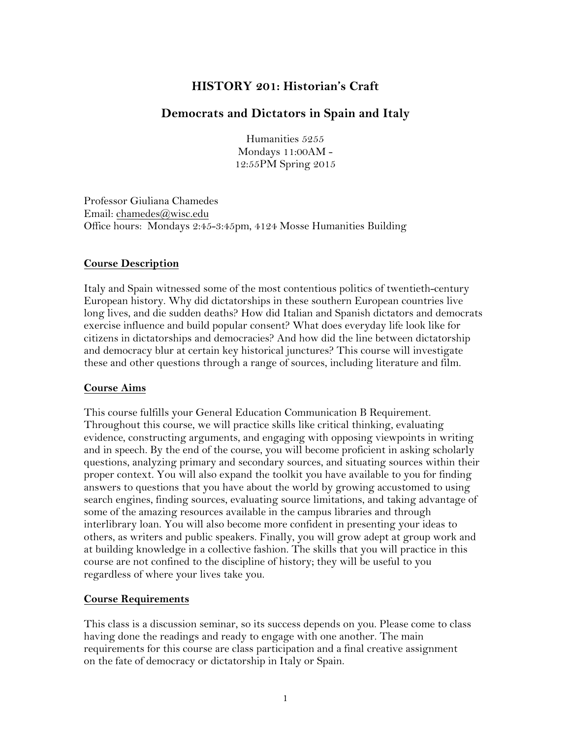# **HISTORY 201: Historian's Craft**

### **Democrats and Dictators in Spain and Italy**

Humanities 5255 Mondays 11:00AM - 12:55PM Spring 2015

Professor Giuliana Chamedes Email: chamedes@wisc.edu Office hours: Mondays 2:45-3:45pm, 4124 Mosse Humanities Building

#### **Course Description**

Italy and Spain witnessed some of the most contentious politics of twentieth-century European history. Why did dictatorships in these southern European countries live long lives, and die sudden deaths? How did Italian and Spanish dictators and democrats exercise influence and build popular consent? What does everyday life look like for citizens in dictatorships and democracies? And how did the line between dictatorship and democracy blur at certain key historical junctures? This course will investigate these and other questions through a range of sources, including literature and film.

#### **Course Aims**

This course fulfills your General Education Communication B Requirement. Throughout this course, we will practice skills like critical thinking, evaluating evidence, constructing arguments, and engaging with opposing viewpoints in writing and in speech. By the end of the course, you will become proficient in asking scholarly questions, analyzing primary and secondary sources, and situating sources within their proper context. You will also expand the toolkit you have available to you for finding answers to questions that you have about the world by growing accustomed to using search engines, finding sources, evaluating source limitations, and taking advantage of some of the amazing resources available in the campus libraries and through interlibrary loan. You will also become more confident in presenting your ideas to others, as writers and public speakers. Finally, you will grow adept at group work and at building knowledge in a collective fashion. The skills that you will practice in this course are not confined to the discipline of history; they will be useful to you regardless of where your lives take you.

#### **Course Requirements**

This class is a discussion seminar, so its success depends on you. Please come to class having done the readings and ready to engage with one another. The main requirements for this course are class participation and a final creative assignment on the fate of democracy or dictatorship in Italy or Spain.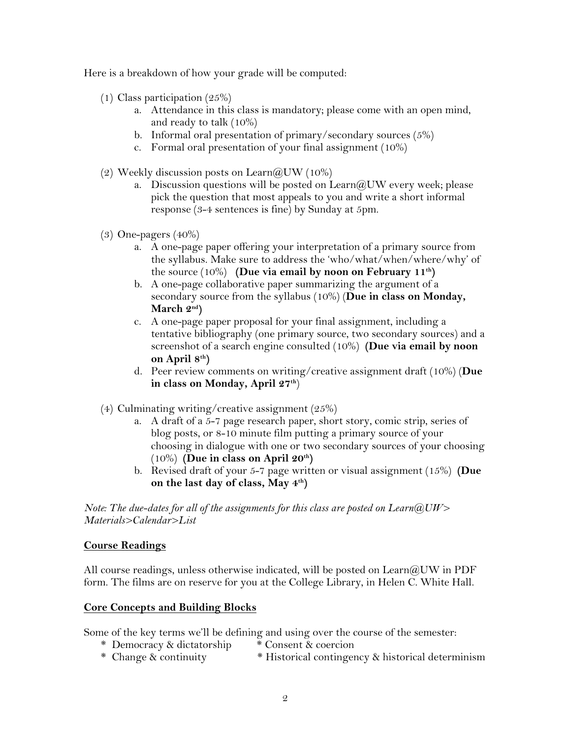Here is a breakdown of how your grade will be computed:

- (1) Class participation (25%)
	- a. Attendance in this class is mandatory; please come with an open mind, and ready to talk (10%)
	- b. Informal oral presentation of primary/secondary sources (5%)
	- c. Formal oral presentation of your final assignment (10%)
- (2) Weekly discussion posts on  $\text{Learn}(a)$ UW (10%)
	- a. Discussion questions will be posted on  $\text{Learn}(\partial UW)$  every week; please pick the question that most appeals to you and write a short informal response (3-4 sentences is fine) by Sunday at 5pm.
- (3) One-pagers (40%)
	- a. A one-page paper offering your interpretation of a primary source from the syllabus. Make sure to address the 'who/what/when/where/why' of the source (10%) **(Due via email by noon on February 11th)**
	- b. A one-page collaborative paper summarizing the argument of a secondary source from the syllabus (10%) (**Due in class on Monday, March 2nd)**
	- c. A one-page paper proposal for your final assignment, including a tentative bibliography (one primary source, two secondary sources) and a screenshot of a search engine consulted (10%) **(Due via email by noon on April 8th)**
	- d. Peer review comments on writing/creative assignment draft (10%) (**Due in class on Monday, April 27th**)
- (4) Culminating writing/creative assignment (25%)
	- a. A draft of a 5-7 page research paper, short story, comic strip, series of blog posts, or 8-10 minute film putting a primary source of your choosing in dialogue with one or two secondary sources of your choosing (10%) **(Due in class on April 20th)**
	- b. Revised draft of your 5-7 page written or visual assignment (15%) **(Due on the last day of class, May 4th)**

*Note: The due-dates for all of the assignments for this class are posted on Learn@UW> Materials>Calendar>List*

#### **Course Readings**

All course readings, unless otherwise indicated, will be posted on Learn  $\mathcal{A}$  UW in PDF form. The films are on reserve for you at the College Library, in Helen C. White Hall.

#### **Core Concepts and Building Blocks**

Some of the key terms we'll be defining and using over the course of the semester:

- \* Democracy & dictatorship \* Consent & coercion
- \* Change & continuity \* Historical contingency & historical determinism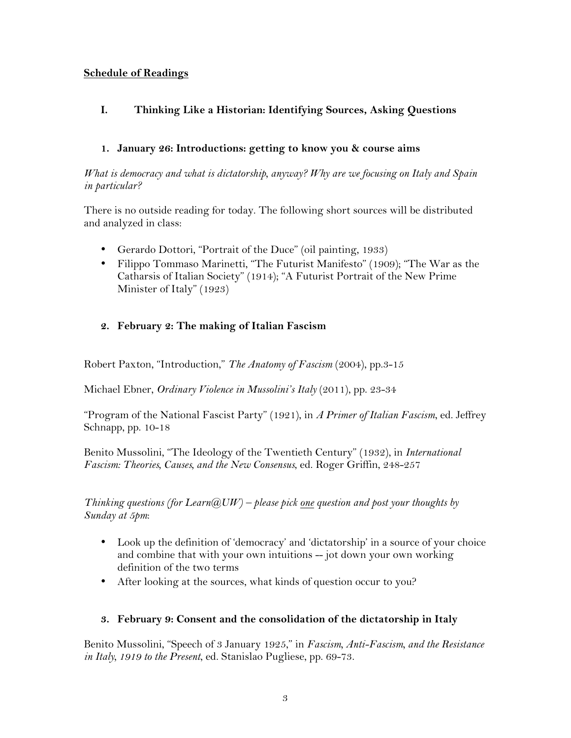### **Schedule of Readings**

## **I. Thinking Like a Historian: Identifying Sources, Asking Questions**

### **1. January 26: Introductions: getting to know you & course aims**

*What is democracy and what is dictatorship, anyway? Why are we focusing on Italy and Spain in particular?*

There is no outside reading for today. The following short sources will be distributed and analyzed in class:

- Gerardo Dottori, "Portrait of the Duce" (oil painting, 1933)
- Filippo Tommaso Marinetti, "The Futurist Manifesto" (1909); "The War as the Catharsis of Italian Society" (1914); "A Futurist Portrait of the New Prime Minister of Italy" (1923)

### **2. February 2: The making of Italian Fascism**

Robert Paxton, "Introduction," *The Anatomy of Fascism* (2004), pp.3-15

Michael Ebner, *Ordinary Violence in Mussolini's Italy* (2011), pp. 23-34

"Program of the National Fascist Party" (1921), in *A Primer of Italian Fascism*, ed. Jeffrey Schnapp, pp. 10-18

Benito Mussolini, "The Ideology of the Twentieth Century" (1932), in *International Fascism: Theories, Causes, and the New Consensus*, ed. Roger Griffin, 248-257

*Thinking questions (for Learn@UW) – please pick one question and post your thoughts by Sunday at 5pm*:

- Look up the definition of 'democracy' and 'dictatorship' in a source of your choice and combine that with your own intuitions -- jot down your own working definition of the two terms
- After looking at the sources, what kinds of question occur to you?

### **3. February 9: Consent and the consolidation of the dictatorship in Italy**

Benito Mussolini, "Speech of 3 January 1925," in *Fascism, Anti-Fascism, and the Resistance in Italy, 1919 to the Present*, ed. Stanislao Pugliese, pp. 69-73.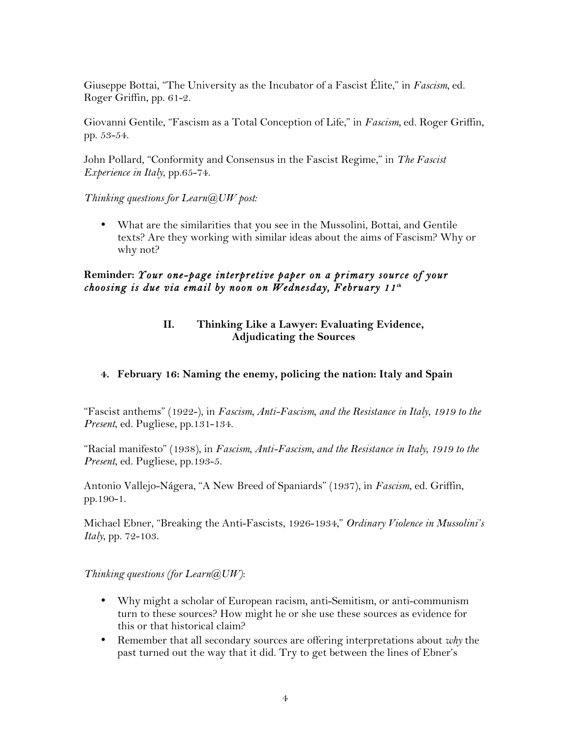Giuseppe Bottai, "The University as the Incubator of a Fascist Élite," in *Fascism,* ed. Roger Griffin, pp. 61-2.

Giovanni Gentile, "Fascism as a Total Conception of Life," in *Fascism,* ed. Roger Griffin, pp. 53-54.

John Pollard, "Conformity and Consensus in the Fascist Regime," in *The Fascist Experience in Italy*, pp.65-74.

*Thinking questions for Learn@UW post:*

• What are the similarities that you see in the Mussolini, Bottai, and Gentile texts? Are they working with similar ideas about the aims of Fascism? Why or why not?

### **Reminder:** *Your one-page interpretive paper on a primary source of your choosing is due via email by noon on Wednesday, February 11th*

### **II. Thinking Like a Lawyer: Evaluating Evidence, Adjudicating the Sources**

### **4. February 16: Naming the enemy, policing the nation: Italy and Spain**

"Fascist anthems" (1922-), in *Fascism, Anti-Fascism, and the Resistance in Italy*, *1919 to the Present*, ed. Pugliese, pp.131-134.

"Racial manifesto" (1938), in *Fascism, Anti-Fascism, and the Resistance in Italy*, *1919 to the Present*, ed. Pugliese, pp.193-5.

Antonio Vallejo-Nágera, "A New Breed of Spaniards" (1937), in *Fascism*, ed. Griffin, pp.190-1.

Michael Ebner, "Breaking the Anti-Fascists, 1926-1934," *Ordinary Violence in Mussolini's Italy*, pp. 72-103.

*Thinking questions (for Learn@UW)*:

- Why might a scholar of European racism, anti-Semitism, or anti-communism turn to these sources? How might he or she use these sources as evidence for this or that historical claim?
- Remember that all secondary sources are offering interpretations about *why* the past turned out the way that it did. Try to get between the lines of Ebner's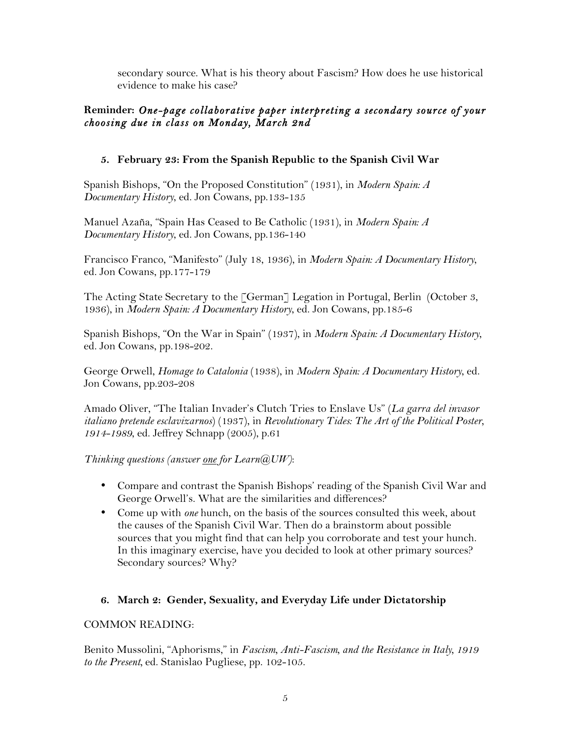secondary source. What is his theory about Fascism? How does he use historical evidence to make his case?

## **Reminder:** *One-page collaborative paper interpreting a secondary source of your choosing due in class on Monday, March 2nd*

### **5. February 23: From the Spanish Republic to the Spanish Civil War**

Spanish Bishops, "On the Proposed Constitution" (1931), in *Modern Spain: A Documentary History*, ed. Jon Cowans, pp.133-135

Manuel Azaña, "Spain Has Ceased to Be Catholic (1931), in *Modern Spain: A Documentary History*, ed. Jon Cowans, pp.136-140

Francisco Franco, "Manifesto" (July 18, 1936), in *Modern Spain: A Documentary History*, ed. Jon Cowans, pp.177-179

The Acting State Secretary to the  $\ulcorner \text{German} \urcorner$  Legation in Portugal, Berlin (October 3, 1936), in *Modern Spain: A Documentary History*, ed. Jon Cowans, pp.185-6

Spanish Bishops, "On the War in Spain" (1937), in *Modern Spain: A Documentary History*, ed. Jon Cowans, pp.198-202.

George Orwell, *Homage to Catalonia* (1938), in *Modern Spain: A Documentary History*, ed. Jon Cowans, pp.203-208

Amado Oliver, "The Italian Invader's Clutch Tries to Enslave Us" (*La garra del invasor italiano pretende esclavizarnos*) (1937), in *Revolutionary Tides: The Art of the Political Poster, 1914-1989*, ed. Jeffrey Schnapp (2005), p.61

*Thinking questions (answer one for Learn@UW)*:

- Compare and contrast the Spanish Bishops' reading of the Spanish Civil War and George Orwell's. What are the similarities and differences?
- Come up with *one* hunch, on the basis of the sources consulted this week, about the causes of the Spanish Civil War. Then do a brainstorm about possible sources that you might find that can help you corroborate and test your hunch. In this imaginary exercise, have you decided to look at other primary sources? Secondary sources? Why?

## **6. March 2: Gender, Sexuality, and Everyday Life under Dictatorship**

### COMMON READING:

Benito Mussolini, "Aphorisms," in *Fascism, Anti-Fascism, and the Resistance in Italy, 1919 to the Present,* ed. Stanislao Pugliese, pp. 102-105.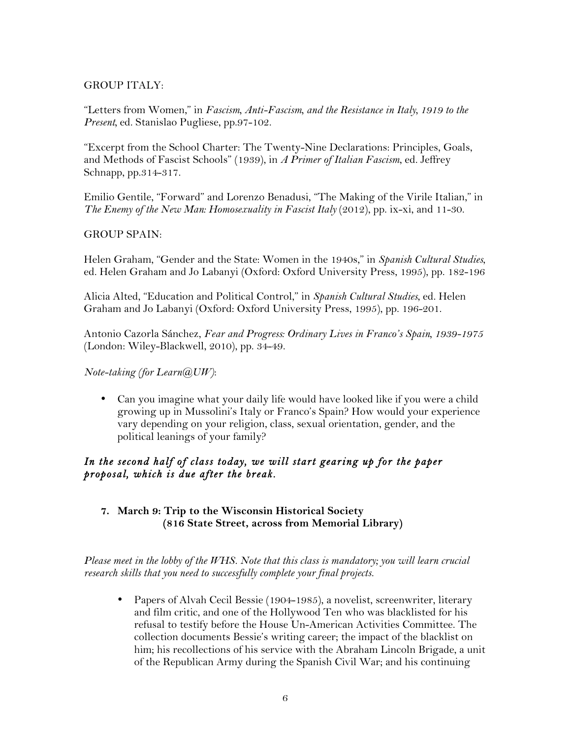### GROUP ITALY:

"Letters from Women," in *Fascism, Anti-Fascism, and the Resistance in Italy, 1919 to the Present,* ed. Stanislao Pugliese, pp.97-102.

"Excerpt from the School Charter: The Twenty-Nine Declarations: Principles, Goals, and Methods of Fascist Schools" (1939), in *A Primer of Italian Fascism*, ed. Jeffrey Schnapp, pp.314-317.

Emilio Gentile, "Forward" and Lorenzo Benadusi, "The Making of the Virile Italian," in *The Enemy of the New Man: Homosexuality in Fascist Italy* (2012), pp. ix-xi, and 11-30.

#### GROUP SPAIN:

Helen Graham, "Gender and the State: Women in the 1940s," in *Spanish Cultural Studies*, ed. Helen Graham and Jo Labanyi (Oxford: Oxford University Press, 1995), pp. 182-196

Alicia Alted, "Education and Political Control," in *Spanish Cultural Studies*, ed. Helen Graham and Jo Labanyi (Oxford: Oxford University Press, 1995), pp. 196-201.

Antonio Cazorla Sánchez, *Fear and Progress: Ordinary Lives in Franco's Spain, 1939-1975*  (London: Wiley-Blackwell, 2010), pp. 34-49.

*Note-taking (for Learn@UW)*:

• Can you imagine what your daily life would have looked like if you were a child growing up in Mussolini's Italy or Franco's Spain? How would your experience vary depending on your religion, class, sexual orientation, gender, and the political leanings of your family?

## *In the second half of class today, we will start gearing up for the paper proposal, which is due after the break.*

### **7. March 9: Trip to the Wisconsin Historical Society (816 State Street, across from Memorial Library)**

*Please meet in the lobby of the WHS. Note that this class is mandatory; you will learn crucial research skills that you need to successfully complete your final projects.*

• Papers of Alvah Cecil Bessie (1904-1985), a novelist, screenwriter, literary and film critic, and one of the Hollywood Ten who was blacklisted for his refusal to testify before the House Un-American Activities Committee. The collection documents Bessie's writing career; the impact of the blacklist on him; his recollections of his service with the Abraham Lincoln Brigade, a unit of the Republican Army during the Spanish Civil War; and his continuing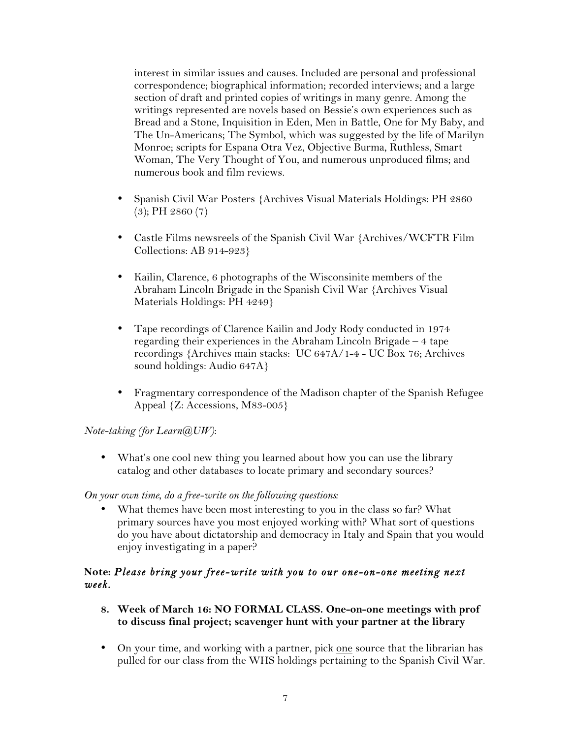interest in similar issues and causes. Included are personal and professional correspondence; biographical information; recorded interviews; and a large section of draft and printed copies of writings in many genre. Among the writings represented are novels based on Bessie's own experiences such as Bread and a Stone, Inquisition in Eden, Men in Battle, One for My Baby, and The Un-Americans; The Symbol, which was suggested by the life of Marilyn Monroe; scripts for Espana Otra Vez, Objective Burma, Ruthless, Smart Woman, The Very Thought of You, and numerous unproduced films; and numerous book and film reviews.

- Spanish Civil War Posters {Archives Visual Materials Holdings: PH 2860 (3); PH 2860 (7)
- Castle Films newsreels of the Spanish Civil War {Archives/WCFTR Film Collections: AB 914-923}
- Kailin, Clarence, 6 photographs of the Wisconsinite members of the Abraham Lincoln Brigade in the Spanish Civil War {Archives Visual Materials Holdings: PH 4249}
- Tape recordings of Clarence Kailin and Jody Rody conducted in 1974 regarding their experiences in the Abraham Lincoln Brigade – 4 tape recordings {Archives main stacks: UC 647A/1-4 - UC Box 76; Archives sound holdings: Audio 647A}
- Fragmentary correspondence of the Madison chapter of the Spanish Refugee Appeal {Z: Accessions, M83-005}

*Note-taking (for Learn@UW)*:

• What's one cool new thing you learned about how you can use the library catalog and other databases to locate primary and secondary sources?

*On your own time, do a free-write on the following questions:*

• What themes have been most interesting to you in the class so far? What primary sources have you most enjoyed working with? What sort of questions do you have about dictatorship and democracy in Italy and Spain that you would enjoy investigating in a paper?

### **Note:** *Please bring your free-write with you to our one-on-one meeting next week.*

- **8. Week of March 16: NO FORMAL CLASS. One-on-one meetings with prof to discuss final project; scavenger hunt with your partner at the library**
- On your time, and working with a partner, pick one source that the librarian has pulled for our class from the WHS holdings pertaining to the Spanish Civil War.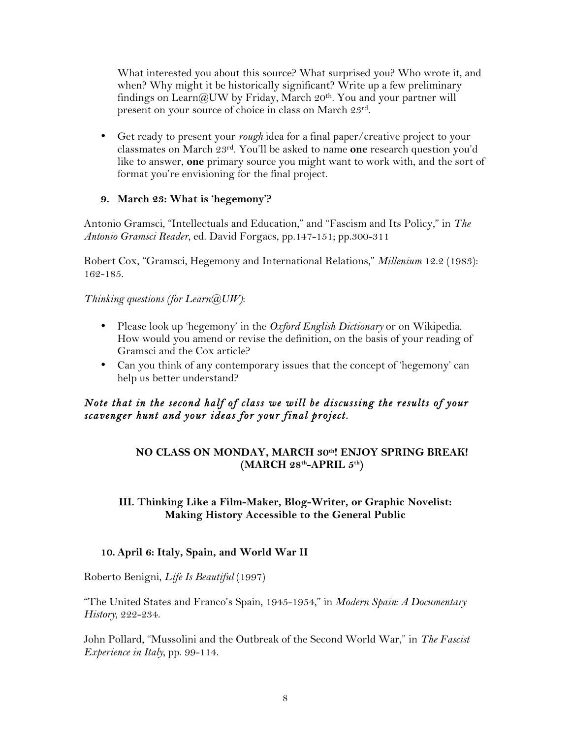What interested you about this source? What surprised you? Who wrote it, and when? Why might it be historically significant? Write up a few preliminary findings on Learn@UW by Friday, March 20th. You and your partner will present on your source of choice in class on March 23rd.

• Get ready to present your *rough* idea for a final paper/creative project to your classmates on March 23rd. You'll be asked to name **one** research question you'd like to answer, **one** primary source you might want to work with, and the sort of format you're envisioning for the final project.

### **9. March 23: What is 'hegemony'?**

Antonio Gramsci, "Intellectuals and Education," and "Fascism and Its Policy," in *The Antonio Gramsci Reader*, ed. David Forgacs, pp.147-151; pp.300-311

Robert Cox, "Gramsci, Hegemony and International Relations," *Millenium* 12.2 (1983): 162-185.

*Thinking questions (for Learn@UW)*:

- Please look up 'hegemony' in the *Oxford English Dictionary* or on Wikipedia. How would you amend or revise the definition, on the basis of your reading of Gramsci and the Cox article?
- Can you think of any contemporary issues that the concept of 'hegemony' can help us better understand?

## *Note that in the second half of class we will be discussing the results of your scavenger hunt and your ideas for your final project.*

### **NO CLASS ON MONDAY, MARCH 30th! ENJOY SPRING BREAK! (MARCH 28th-APRIL 5th)**

### **III. Thinking Like a Film-Maker, Blog-Writer, or Graphic Novelist: Making History Accessible to the General Public**

### **10. April 6: Italy, Spain, and World War II**

Roberto Benigni, *Life Is Beautiful* (1997)

"The United States and Franco's Spain, 1945-1954," in *Modern Spain: A Documentary History*, 222-234.

John Pollard, "Mussolini and the Outbreak of the Second World War," in *The Fascist Experience in Italy*, pp. 99-114.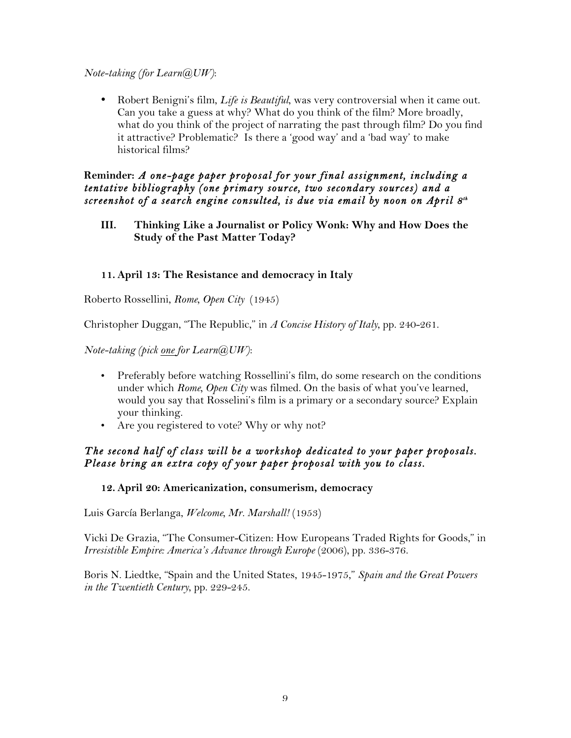#### *Note-taking (for Learn@UW)*:

• Robert Benigni's film, *Life is Beautiful*, was very controversial when it came out. Can you take a guess at why? What do you think of the film? More broadly, what do you think of the project of narrating the past through film? Do you find it attractive? Problematic? Is there a 'good way' and a 'bad way' to make historical films?

**Reminder:** *A one-page paper proposal for your final assignment, including a tentative bibliography (one primary source, two secondary sources) and a screenshot of a search engine consulted, is due via email by noon on April 8th*

**III. Thinking Like a Journalist or Policy Wonk: Why and How Does the Study of the Past Matter Today?**

### **11. April 13: The Resistance and democracy in Italy**

Roberto Rossellini, *Rome, Open City* (1945)

Christopher Duggan, "The Republic," in *A Concise History of Italy*, pp. 240-261.

*Note-taking (pick one for Learn@UW)*:

- Preferably before watching Rossellini's film, do some research on the conditions under which *Rome, Open City* was filmed. On the basis of what you've learned, would you say that Rosselini's film is a primary or a secondary source? Explain your thinking.
- Are you registered to vote? Why or why not?

### *The second half of class will be a workshop dedicated to your paper proposals. Please bring an extra copy of your paper proposal with you to class.*

#### **12. April 20: Americanization, consumerism, democracy**

Luis García Berlanga, *Welcome, Mr. Marshall!* (1953)

Vicki De Grazia, "The Consumer-Citizen: How Europeans Traded Rights for Goods," in *Irresistible Empire: America's Advance through Europe* (2006), pp. 336-376.

Boris N. Liedtke, "Spain and the United States, 1945-1975," *Spain and the Great Powers in the Twentieth Century*, pp. 229-245.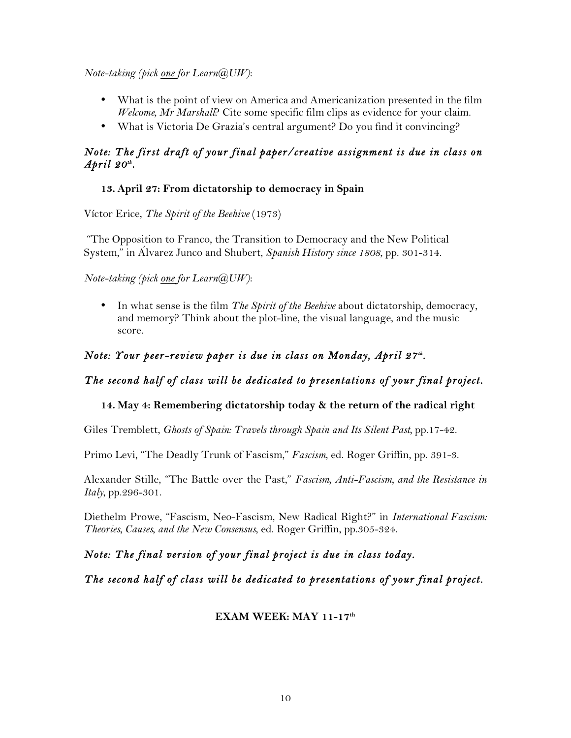*Note-taking (pick one for Learn@UW)*:

- What is the point of view on America and Americanization presented in the film *Welcome, Mr Marshall*? Cite some specific film clips as evidence for your claim.
- What is Victoria De Grazia's central argument? Do you find it convincing?

## *Note: The first draft of your final paper/creative assignment is due in class on April 20th.*

## **13. April 27: From dictatorship to democracy in Spain**

Víctor Erice, *The Spirit of the Beehive* (1973)

"The Opposition to Franco, the Transition to Democracy and the New Political System," in Álvarez Junco and Shubert, *Spanish History since 1808*, pp. 301-314.

*Note-taking (pick one for Learn@UW)*:

• In what sense is the film *The Spirit of the Beehive* about dictatorship, democracy, and memory? Think about the plot-line, the visual language, and the music score.

# *Note: Your peer-review paper is due in class on Monday, April 27th.*

## *The second half of class will be dedicated to presentations of your final project.*

## **14. May 4: Remembering dictatorship today & the return of the radical right**

Giles Tremblett, *Ghosts of Spain: Travels through Spain and Its Silent Past*, pp.17-42.

Primo Levi, "The Deadly Trunk of Fascism," *Fascism*, ed. Roger Griffin, pp. 391-3.

Alexander Stille, "The Battle over the Past," *Fascism, Anti-Fascism, and the Resistance in Italy*, pp.296-301.

Diethelm Prowe, "Fascism, Neo-Fascism, New Radical Right?" in *International Fascism: Theories, Causes, and the New Consensus*, ed. Roger Griffin, pp.305-324.

*Note: The final version of your final project is due in class today.* 

*The second half of class will be dedicated to presentations of your final project.* 

## **EXAM WEEK: MAY 11-17th**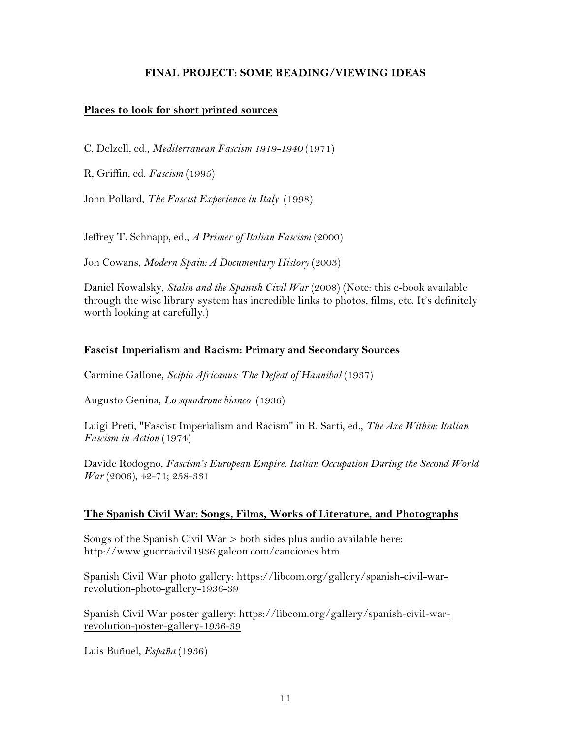#### **FINAL PROJECT: SOME READING/VIEWING IDEAS**

#### **Places to look for short printed sources**

C. Delzell, ed., *Mediterranean Fascism 1919-1940* (1971)

R, Griffin, ed. *Fascism* (1995)

John Pollard, *The Fascist Experience in Italy* (1998)

Jeffrey T. Schnapp, ed., *A Primer of Italian Fascism* (2000)

Jon Cowans, *Modern Spain: A Documentary History* (2003)

Daniel Kowalsky, *Stalin and the Spanish Civil War* (2008) (Note: this e-book available through the wisc library system has incredible links to photos, films, etc. It's definitely worth looking at carefully.)

#### **Fascist Imperialism and Racism: Primary and Secondary Sources**

Carmine Gallone, *Scipio Africanus: The Defeat of Hannibal* (1937)

Augusto Genina, *Lo squadrone bianco* (1936)

Luigi Preti, "Fascist Imperialism and Racism" in R. Sarti, ed., *The Axe Within: Italian Fascism in Action* (1974)

Davide Rodogno, *Fascism's European Empire. Italian Occupation During the Second World War* (2006), 42-71; 258-331

#### **The Spanish Civil War: Songs, Films, Works of Literature, and Photographs**

Songs of the Spanish Civil War > both sides plus audio available here: http://www.guerracivil1936.galeon.com/canciones.htm

Spanish Civil War photo gallery: https://libcom.org/gallery/spanish-civil-warrevolution-photo-gallery-1936-39

Spanish Civil War poster gallery: https://libcom.org/gallery/spanish-civil-warrevolution-poster-gallery-1936-39

Luis Buñuel, *España* (1936)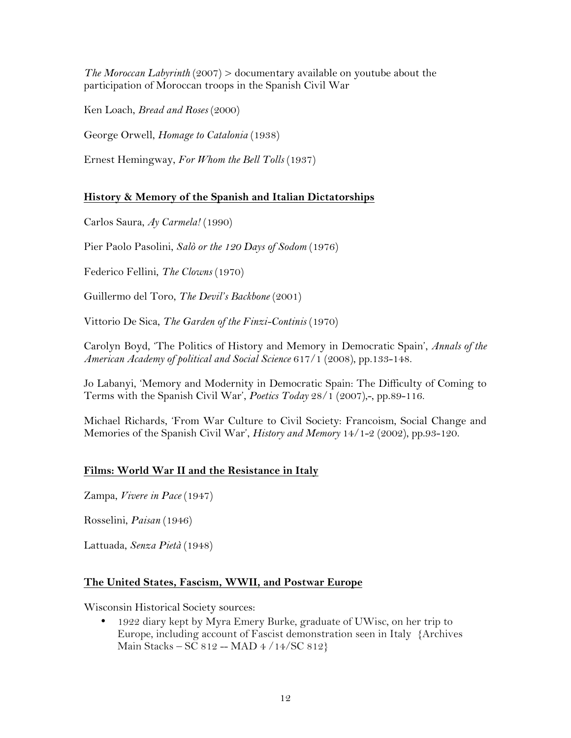*The Moroccan Labyrinth* (2007) > documentary available on youtube about the participation of Moroccan troops in the Spanish Civil War

Ken Loach, *Bread and Roses* (2000)

George Orwell, *Homage to Catalonia* (1938)

Ernest Hemingway, *For Whom the Bell Tolls* (1937)

### **History & Memory of the Spanish and Italian Dictatorships**

Carlos Saura, *Ay Carmela!* (1990)

Pier Paolo Pasolini, *Salò or the 120 Days of Sodom* (1976)

Federico Fellini, *The Clowns* (1970)

Guillermo del Toro, *The Devil's Backbone* (2001)

Vittorio De Sica, *The Garden of the Finzi-Continis* (1970)

Carolyn Boyd, 'The Politics of History and Memory in Democratic Spain', *Annals of the American Academy of political and Social Science* 617/1 (2008), pp.133-148.

Jo Labanyi, 'Memory and Modernity in Democratic Spain: The Difficulty of Coming to Terms with the Spanish Civil War', *Poetics Today* 28/1 (2007),-, pp.89-116.

Michael Richards, 'From War Culture to Civil Society: Francoism, Social Change and Memories of the Spanish Civil War', *History and Memory* 14/1-2 (2002), pp.93-120.

### **Films: World War II and the Resistance in Italy**

Zampa, *Vivere in Pace* (1947)

Rosselini, *Paisan* (1946)

Lattuada, *Senza Pietà* (1948)

#### **The United States, Fascism, WWII, and Postwar Europe**

Wisconsin Historical Society sources:

• 1922 diary kept by Myra Emery Burke, graduate of UWisc, on her trip to Europe, including account of Fascist demonstration seen in Italy {Archives Main Stacks – SC  $812 - MAD + 4/14/SC 812$